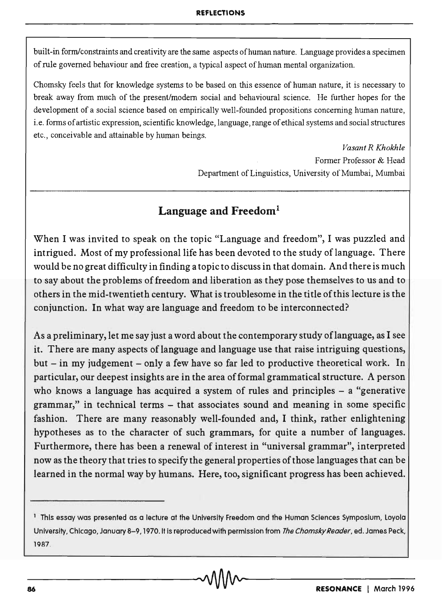built-in form/constraints and creativity are the same aspects ofhuman nature. Language provides a specimen of rule governed behaviour and free creation, a typical aspect of human mental organization.

Chomsky feels that for knowledge systems to be based on this essence of human nature, it is necessary to break away from much of the present/modern social and behavioural science. He further hopes for the development of a social science based on empirically well-founded propositions concerning human nature, i. e. fonns of artistic expression, scientific knowledge, language, range of ethical systems and social structures etc., conceivable and attainable by human beings.

> *Vasant R Khokhle*  Fonner Professor & Head Department of Linguistics, University of Mumbai, Mumbai

# **Language and Freedom<sup>1</sup>**

When I was invited to speak on the topic "Language and freedom", I was puzzled and intrigued. Most of my professional life has been devoted to the study of language. There would be no great difficulty in finding a topic to discuss in that domain. And there is much to say about the problems of freedom and liberation as they pose themselves to us and to others in the mid-twentieth century. What is troublesome in the title ofthis lecture is the conjunction. In what way are language and freedom to be interconnected?

As a preliminary, let me say just a word about the contemporary study oflanguage, as I see it. There are many aspects of language and language use that raise intriguing questions,  $but - in$  my judgement  $-$  only a few have so far led to productive theoretical work. In particular, our deepest insights are in the area of formal grammatical structure. A person who knows a language has acquired a system of rules and principles - a "generative grammar," in technical terms - that associates sound and meaning in some specific fashion. There are many reasonably well-founded and, I think, rather enlightening hypotheses as to the character of such grammars, for quite a number of languages. Furthermore, there has been a renewal of interest in "universal grammar", interpreted now as the theory that tries to specify the general properties of those languages that can be learned in the normal way by humans. Here, too, significant progress has been achieved.

<sup>&</sup>lt;sup>1</sup> This essay was presented as a lecture at the University Freedom and the Human Sciences Symposium, Loyola University, Chicago, January 8-9, 1970. It is reproduced with permission from The Chomsky Reader, ed. James Peck, 1987.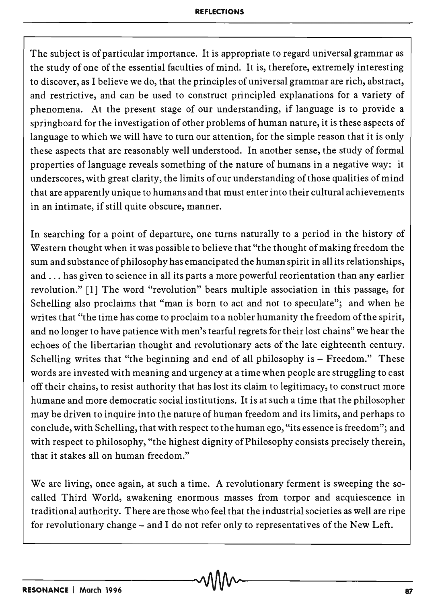The subject is of particular importance. It is appropriate to regard universal grammar as the study of one of the essential faculties of mind. It is, therefore, extremely interesting to discover, as I believe we do, that the principles of universal grammar are rich, abstract, and restrictive, and can be used to construct principled explanations for a variety of phenomena. At the present stage of our understanding, if language is to provide a springboard for the investigation of other problems of human nature, it is these aspects of language to which we will have to turn our attention, for the simple reason that it is only these aspects that are reasonably well understood. In another sense, the study of formal properties of language reveals something of the nature of humans in a negative way: it underscores, with great clarity, the limits of our understanding of those qualities of mind that are apparently unique to humans and that must enter into their cultural achievements in an intimate, if still quite obscure, manner.

In searching for a point of departure, one turns naturally to a period in the history of Western thought when it was possible to believe that "the thought of making freedom the sum and substance of philosophy has emancipated the human spirit in all its relationships, and ... has given to science in all its parts a more powerful reorientation than any earlier revolution." [1] The word "revolution" bears multiple association in this passage, for Schelling also proclaims that "man is born to act and not to speculate"; and when he writes that "the time has come to proclaim to a nobler humanity the freedom of the spirit, and no longer to have patience with men's tearful regrets for their lost chains" we hear the echoes of the libertarian thought and revolutionary acts of the late eighteenth century. Schelling writes that "the beginning and end of all philosophy is - Freedom." These words are invested with meaning and urgency at a time when people are struggling to cast off their chains, to resist authority that has lost its claim to legitimacy, to construct more humane and more democratic social institutions. It is at such a time that the philosopher may be driven to inquire into the nature of human freedom and its limits, and perhaps to conclude, with Schelling, that with respect to the human ego, "its essence is freedom"; and with respect to philosophy, "the highest dignity of Philosophy consists precisely therein, that it stakes all on human freedom."

We are living, once again, at such a time. A revolutionary ferment is sweeping the socalled Third World, awakening enormous masses from torpor and acquiescence in traditional authority. There are those who feel that the industrial societies as well are ripe for revolutionary change - and I do not refer only to representatives of the New Left.

 $\sim$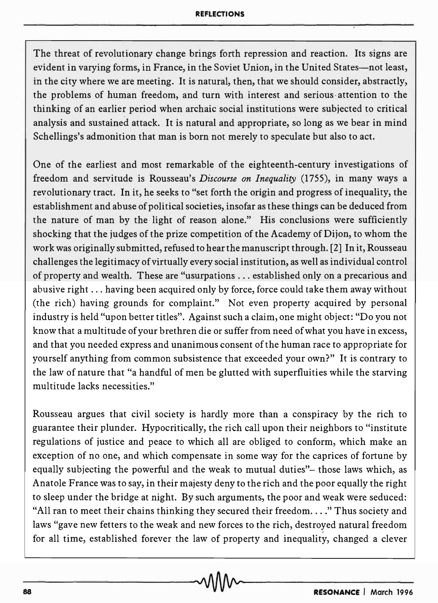The threat of revolutionary change brings forth repression and reaction. Its signs are evident in varying forms, in France, in the Soviet Union, in the United States-not least, in the city where we are meeting. It is natural, then, that we should consider, abstractly, the problems of human freedom, and turn with interest and serious· attention to the thinking of an earlier period when archaic social institutions were subjected to critical analysis and sustained attack. It is natural and appropriate, so long as we bear in mind Schellings's admonition that man is born not merely to speculate but also to act.

One of the earliest and most remarkable of the eighteenth-century investigations of freedom and servitude is Rousseau's *Discourse on Inequality* (1755), in many ways a revolutionary tract. In it, he seeks to "set forth the origin and progress of inequality, the establishment and abuse of political societies, insofar as these things can be deduced from the nature of man by the light of reason alone." His conclusions were sufficiently shocking that the judges of the prize competition of the Academy of Dijon, to whom the work was originally submitted, refused to hearthe manuscript through. [2] In it, Rousseau challenges the legitimacy of virtually every social institution, as well as individual control of property and wealth. These are "usurpations ... established only on a precarious and abusive right ... having been acquired only by force, force could take them away without (the rich) having grounds for complaint." Not even property acquired by personal industry is held "upon better titles". Against such a claim, one might object: "Do you not know that a multitude of your brethren die or suffer from need of what you have in excess, and that you needed express and unanimous consent of the human race to appropriate for yourself anything from common subsistence that exceeded your own?" It is contrary to the law of nature that "a handful of men be glutted with superfluities while the starving multitude lacks necessities."

Rousseau argues that civil society is hardly more than a conspiracy by the rich to guarantee their plunder. Hypocritically, the rich call upon their neighbors to "institute regulations of justice and peace to which all are obliged to conform, which make an exception of no one, and which compensate in some way for the caprices of fortune by equally subjecting the powerful and the weak to mutual duties"- those laws which, as Anatole France was to say, in their majesty deny to the rich and the poor equally the right to sleep under the bridge at night. By such arguments, the poor and weak were seduced: "All ran to meet their chains thinking they secured their freedom...." Thus society and laws "gave new fetters to the weak and new forces to the rich, destroyed natural freedom for all time, established forever the law of property and inequality, changed a clever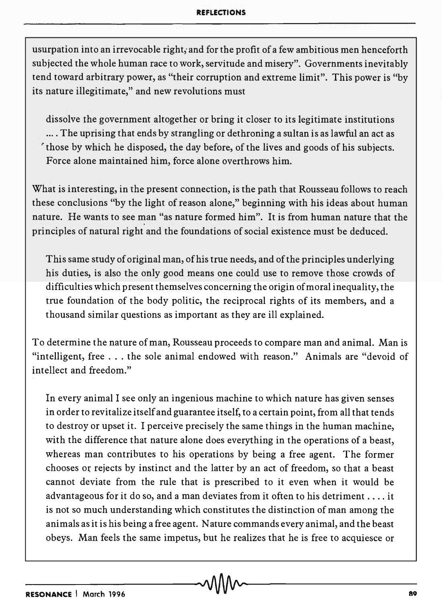usurpation into an irrevocable right; and for the profit of a few ambitious men henceforth subjected the whole human race to work, servitude and misery". Governments inevitably tend toward arbitrary power, as "their corruption and extreme limit". This power is "by its nature illegitimate," and new revolutions must

dissolve the government altogether or bring it closer to its legitimate institutions .... The uprising that ends by strangling or dethroning a sultan is as lawful an act as ? those by which he disposed, the day before, of the lives and goods of his subjects. Force alone maintained him, force alone overthrows him.

What is interesting, in the present connection, is the path that Rousseau follows to reach these conclusions "by the light of reason alone," beginning with his ideas about human nature. He wants to see man "as nature formed him". It is from human nature that the principles of natural right and the foundations of social existence must be deduced.

This same study of original man, of his true needs, and of the principles underlying his duties, is also the only good means one could use to remove those crowds of difficulties which present themselves concerning the origin of moral inequality, the true foundation of the body politic, the reciprocal rights of its members, and a thousand similar questions as important as they are ill explained.

To determine the nature of man, Rousseau proceeds to compare man and animal. Man is "intelligent, free ... the sole animal endowed with reason." Animals are "devoid of intellect and freedom."

In every animal I see only an ingenious machine to which nature has given senses in order to revitalize itself and guarantee itself, to a certain point, from all that tends to destroy or upset it. I perceive precisely the same things in the human machine, with the difference that nature alone does everything in the operations of a beast, whereas man contributes to his operations by being a free agent. The former chooses or rejects by instinct and the latter by an act of freedom, so that a beast cannot deviate from the rule that is prescribed to it even when it would be advantageous for it do so, and a man deviates from it often to his detriment .... it is not so much understanding which constitutes the distinction of man among the animals as it is his being a free agent. Nature commands every animal, and the beast obeys. Man feels the same impetus, but he realizes that he is free to acquiesce or **RESONANCE** I March 1996 v V V V V **RESONANCE** I March 1996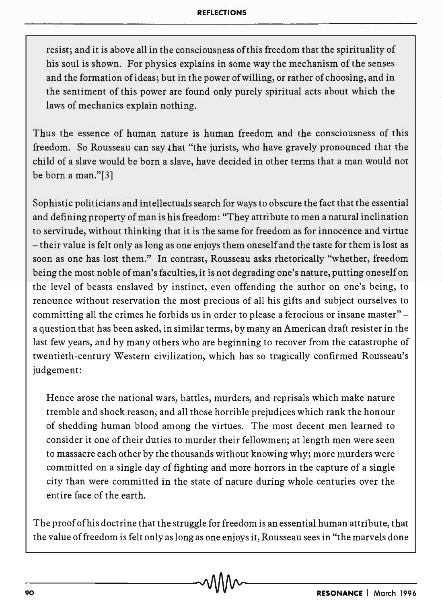resist; and it is above all in the consciousness ofthis freedom that the spirituality of his soul is shown. For physics explains in some way the mechanism of the senses· and the formation of ideas; but in the power of willing, or rather of choosing, and in the sentiment of this power are found only purely spiritual acts about which the laws of mechanics explain nothing.

Thus the essence of human nature is human freedom and the consciousness of this freedom. So Rousseau can say that "the jurists, who have gravely pronounced that the child of a slave would be born a slave, have decided in other terms that a man would not be born a man."[3]

Sophistic politicians and intellectuals search for ways to obscure the fact that the essential and defining property of man is his freedom: "They attribute to men a natural inclination to servitude, without thinking that it is the same for freedom as for innocence and virtue - their value is felt only as long as one enjoys them oneself and the taste for them is lost as soon as one has lost them." In contrast, Rousseau asks rhetorically "whether, freedom being the most noble of man's faculties, it is not degrading one's nature, putting oneself on the level of beasts enslaved by instinct, even offending the author on one's being, to renounce without reservation the most precious of all his gifts and subject ourselves to committing all the crimes he forbids us in order to please a ferocious or insane master" a question that has been asked, in similar terms, by many an American draft resister in the last few years, and by many others who are beginning to recover from the catastrophe of twentieth-century Western civilization, which has so tragically confirmed Rousseau's judgement:

Hence arose the national wars, battles, murders, and reprisals which make nature tremble and shock reason; and all those horrible prejudices which rank the honour of shedding human blood among the virtues. The most decent men learned to consider it one of their duties to murder their fellowmen; at length men were seen to massacre each other by the thousands without knowing why; more murders were committed on a single day of fighting and more horrors in the capture of a single city than were committed in the state of nature during whole centuries over the entire face of the earth.

The proof of his doctrine that the struggle for freedom is an essential human attribute, that the value of freedom is felt only as long as one enjoys it, Rousseau sees in "the marvels done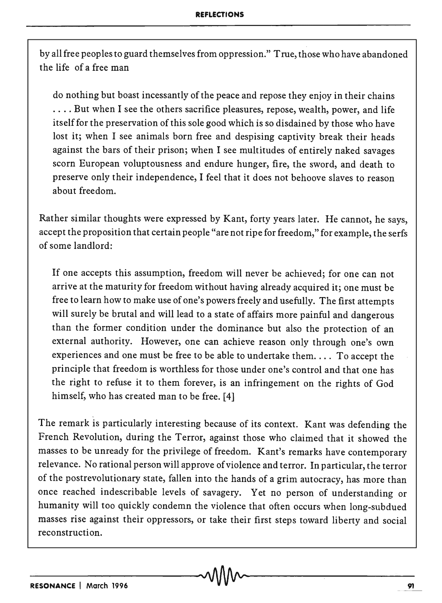by all free peoples to guard themselves from oppression." True, those who have abandoned the life of a free man

do nothing but boast incessantly of the peace and repose they enjoy in their chains .... But when I see the others sacrifice pleasures, repose, wealth, power, and life itself for the preservation of this sole good which is so disdained by those who have lost it; when I see animals born free and despising captivity break their heads against the bars of their prison; when I see multitudes of entirely naked savages scorn European voluptousness and endure hunger, fire, the sword, and death to preserve only their independence, I feel that it does not behoove slaves to reason about freedom.

Rather similar thoughts were expressed by Kant, forty years later. He cannot, he says, accept the proposition that certain people "are not ripe for freedom," for example, the serfs of some landlord:

If one accepts this assumption, freedom will never be achieved; for one can not arrive at the maturity for freedom without having already acquired it; one must be free to learn how to make use of one's powers freely and usefully. The first attempts will surely be brutal and will lead to a state of affairs more painful and dangerous than the former condition under the dominance but also the protection of an external authority. However, one can achieve reason only through one's own experiences and one must be free to be able to undertake them.... To accept the principle that freedom is worthless for those under one's control and that one has the right to refuse it to them forever, is an infringement on the rights of God himself, who has created man to be free. [4]

The remark is particularly interesting because of its context. Kant was defending the French Revolution, during the Terror, against those who claimed that it showed the masses to be unready for the privilege of freedom. Kant's remarks have contemporary relevance. No rational person will approve of violence and terror. In particular, the terror of the postrevolutionary state, fallen into the hands of a grim autocracy, has more than once reached indescribable levels of savagery. Yet no person of understanding or humanity will too quickly condemn the violence that often occurs when long-subdued masses rise against their oppressors, or take their first steps toward liberty and social reconstruction.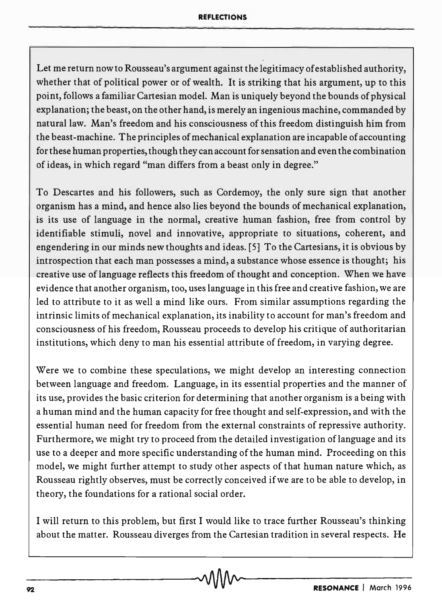Let me return nowto Rousseau's argument against the legitimacy of established authority, whether that of political power or of wealth. It is striking that his argument, up to this point, follows a familiar Cartesian model. Man is uniquely beyond the bounds of physical explanation; the beast, on the other hand, is merely an ingenious machine, commanded by natural law. Man's freedom and his consciousness of this freedom distinguish him from the beast-machine. The principles of mechanical explanation are incapable of accounting for these human properties, though they can account for sensation and even the combination of ideas, in which regard "man differs from a beast only in degree."

To Descartes and his followers, such as Cordemoy, the only sure sign that another organism hasa mind, and hence also lies beyond the bounds of mechanical explanation, is its use of language in the normal, creative human fashion, free from control by identifiable stimuli, novel and innovative, appropriate to situations, coherent, and engendering in our minds new thoughts and ideas. [5] To the Cartesians, it is obvious by introspection that each man possesses a mind, a substance whose essence is thought; his creative use of language reflects this freedom of thought and conception. When we have evidence that another organism, too, uses language in this free and creative fashion, we are led to attribute to it as well a mind like ours. From similar assumptions regarding the intrinsic limits of mechanical explanation, its inability to account for man's freedom and consciousness of his freedom, Rousseau proceeds to develop his critique of authoritarian institutions, which deny to man his essential attribute of freedom, in varying degree.

Were we to combine these speculations, we might develop an interesting connection between language and freedom. Language, in its essential properties and the manner of its use, provides the basic criterion for determining that another organism is a being with a human mind and the human capacity for free thought and self-expression, and with the essential human need for freedom from the external constraints of repressive authority. Furthermore, we might try to proceed from the detailed investigation oflanguage and its use to a deeper and more specific understanding of the human mind. Proceeding on this model, we might further attempt to study other aspects of that human nature which, as Rousseau rightly observes, must be correctly conceived if we are to be able to develop, in theory, the foundations for a rational social order.

I will return to this problem, but first I would like to trace further Rousseau's thinking about the matter. Rousseau diverges from the Cartesian tradition in several respects. He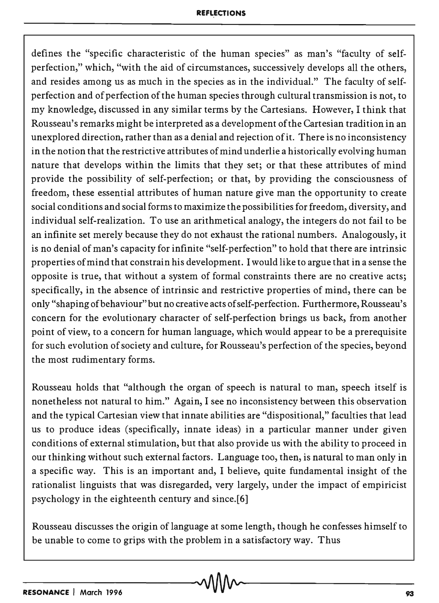defines the "specific characteristic of the human species" as man's "faculty of selfperfection," which, "with the aid of circumstances, successively develops all the others, and resides among us as much in the species as in the individual." The faculty of selfperfection and of perfection of the human species through cultural transmission is not, to my knowledge, discussed in any similar terms by the Cartesians. However, I think that Rousseau's remarks might be interpreted as a development ofthe Cartesian tradition in an unexplored direction, rather than as a denial and rejection of it. There is no inconsistency in the notion that the restrictive attributes of mind underlie a historically evolving human nature that develops within the limits that they set; or that these attributes of mind provide the possibility of self-perfection; or that, by providing the consciousness of freedom, these essential attributes of human nature give man the opportunity to create social conditions and social forms to maximize the possibilities for freedom, diversity, and individual self-realization. To use an arithmetical analogy, the integers do not fail to be an infinite set merely because they do not exhaust the rational numbers. Analogously, it is no denial of man's capacity for infinite "self-perfection" to hold that there are intrinsic properties of mind that constrain his development. I would like to argue that in a sense the opposite is true, that without a system of formal constraints there are no creative acts; specifically, in the absence of intrinsic and restrictive properties of mind, there can be only "shaping of behaviour" but no creative acts of self-perfection. Furthermore, Rousseau's concern for the evolutionary character of self-perfection brings us back, from another point of view, to a concern for human language, which would appear to be a prerequisite for such evolution of society and culture, for Rousseau's perfection of the species, beyond the most rudimentary forms.

Rousseau holds that "although the organ of speech is natural to man, speech itself is nonetheless not natural to him." Again, I see no inconsistency between this observation and the typical Cartesian view that innate abilities are "dispositional," faculties that lead us to produce ideas (specifically, innate ideas) in a particular manner under given conditions of external stimulation, but that also provide us with the ability to proceed in our thinking without such external factors. Language too, then, is natural to man only in a specific way. This is an important and, I believe, quite fundamental insight of the rationalist linguists that was disregarded, very largely, under the impact of empiricist psychology in the eighteenth century and since.[6]

Rousseau discusses the origin of language at some length, though he confesses himself to be unable to come to grips with the problem in a satisfactory way. Thus

 $\sim$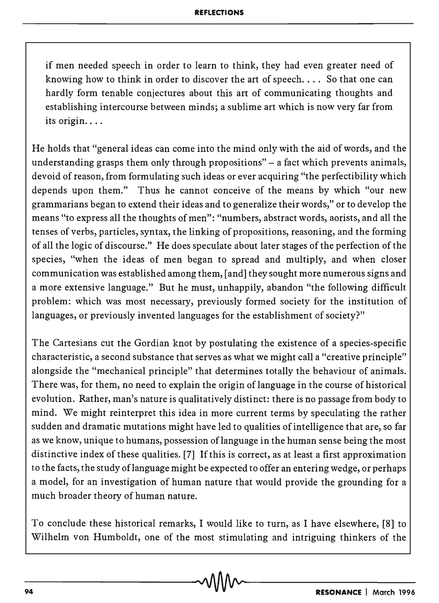if men needed speech in order to learn to think, they had even greater need of knowing how to think in order to discover the art of speech. . .. So that one can hardly form tenable conjectures about this art of communicating thoughts and establishing intercourse between minds; a sublime art which is now very far from its origin....

He holds that "general ideas can come into the mind only with the aid of words, and the understanding grasps them only through propositions" - a fact which prevents animals, devoid of reason, from formulating such ideas or ever acquiring "the perfectibility which depends upon them." Thus he cannot conceive of the means by which "our new grammarians began to extend their ideas and to generalize their words," or to develop the means "to express all the thoughts of men": "numbers, abstract words, aorists, and all the tenses of verbs, particles, syntax, the linking of propositions, reasoning, and the forming of all the logic of discourse." He does speculate about later stages of the perfection of the species, "when the ideas of men began to spread and multiply, and when closer communication was established among them, [and] they sought more numerous signs and a more extensive language." But he must, unhappily, abandon "the following difficult problem: which was most necessary, previously formed society for the institution of languages, or previously invented languages for the establishment of society?"

The Cartesians cut the Gordian knot by postulating the existence of a species-specific characteristic, a second substance that serves as what we might call a "creative principle" alongside the "mechanical principle" that determines totally the behaviour of animals. There was, for them, no need to explain the origin of language in the course of historical evolution. Rather, man's nature is qualitatively distinct: there is no passage from body to mind. We might reinterpret this idea in more current terms by speculating the rather sudden and dramatic mutations might have led to qualities of intelligence that are, so far as we know, unique to humans, possession oflanguage in the human sense being the most distinctive index of these qualities. [7] If this is correct, as at least a first approximation to the facts, the study oflanguage might be expected to offer an entering wedge, or perhaps a model, for an investigation of human nature that would provide the grounding for a much broader theory of human nature.

To conclude these historical remarks, I would like to turn, as I have elsewhere, [8] to Wilhelm von Humboldt, one of the most stimulating and intriguing thinkers of the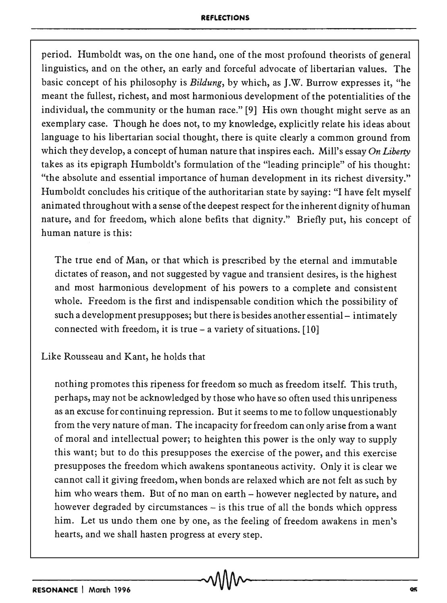period. Humboldt was, on the one hand, one of the most profound theorists of general linguistics, and on the other, an early and forceful advocate of libertarian values. The basic concept of his philosophy is *Bildung,* by which, as J .W. Burrow expresses it, "he meant the fullest, richest, and most harmonious development of the potentialities of the individual, the community or the human race." [9] His own thought might serve as an exemplary case. Though he does not, to my knowledge, explicitly relate his ideas about language to his libertarian social thought, there is quite clearly a common ground from which they develop, a concept of human nature that inspires each. Mill's essay *On Liberty*  takes as its epigraph Humboldt's formulation of the "leading principle" of his thought: "the absolute and essential importance of human development in its richest diversity." Humboldt concludes his critique of the authoritarian state by saying: "I have felt myself animated throughout with a sense of the deepest respect for the inherent dignity of human nature, and for freedom, which alone befits that dignity." Briefly put, his concept of human nature is this:

The true end of Man, or that which is prescribed by the eternal and immutable dictates of reason, and not suggested by vague and transient desires, is the highest and most harmonious development of his powers to a complete and consistent whole. Freedom is the first and indispensable condition which the possibility of such a development presupposes; but there is besides another essential – intimately connected with freedom, it is true  $-$  a variety of situations.  $[10]$ 

Like Rousseau and Kant, he holds that

nothing promotes this ripeness for freedom so much as freedom itself. This truth, perhaps, may not be acknowledged by those who have so often used this unripeness as an excuse for continuing repression. But it seems to me to follow unquestionably from the very nature of man. The incapacity for freedom can only arise from a want of moral and intellectual power; to heighten this power is the only way to supply this want; but to do this presupposes the exercise of the power, and this exercise presupposes the freedom which awakens spontaneous activity. Only it is clear we cannot call it giving freedom, when bonds are relaxed which are not felt as such by him who wears them. But of no man on earth – however neglected by nature, and however degraded by circumstances – is this true of all the bonds which oppress him. Let us undo them one by one, as the feeling of freedom awakens in men's hearts, and we shall hasten progress at every step.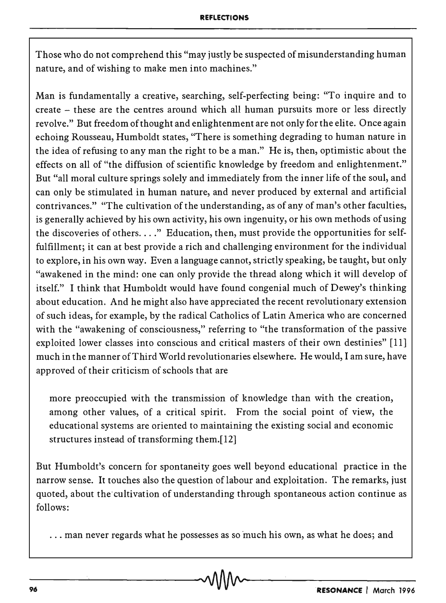Those who do not comprehend this "may justly be suspected of misunderstanding human nature, and of wishing to make men into machines."

Man is fundamentally a creative, searching, self-perfecting being: "To inquire and to create - these are the centres around which all human pursuits more or less directly revolve." But freedom of thought and enlightenment are not only for the elite. Once again echoing Rousseau, Humboldt states, "There is something degrading to human nature in the idea of refusing to any man the right to be a man." He is, then, optimistic about the effects on all of "the diffusion of scientific knowledge by freedom and enlightenment." But "all moral culture springs solely and immediately from the inner life of the soul, and can only be stimulated in human nature, and never produced by external and artificial contrivances." "The cultivation of the understanding, as of any of man's other faculties, is generally achieved by his own activity, his own ingenuity, or his own methods of using the discoveries of others...." Education, then, must provide the opportunities for selffulfillment; it can at best provide a rich and challenging environment for the individual to explore, in his own way. Even a language cannot, strictly speaking, be taught, but only "awakened in the mind: one can only provide the thread along which it will develop of itself." I think that Humboldt would have found congenial much of Dewey's thinking about education. And he might also have appreciated the recent revolutionary extension of such ideas, for example, by the radical Catholics of Latin America who are concerned with the "awakening of consciousness," referring to "the transformation of the passive exploited lower classes into conscious and critical masters of their own destinies" [11] much in the manner of Third World revolutionaries elsewhere. He would, I am sure, have approved of their criticism of schools that are

more preoccupied with the transmission of knowledge than with the creation, among other values, of a critical spirit. From the social point of view, the educational systems are oriented to maintaining the existing social and economic structures instead of transforming them.[12]

But Humboldt's concern for spontaneity goes well beyond educational practice in the narrow sense. It touches also the question of labour and exploitation. The remarks, just quoted, about the-cultivation of understanding through spontaneous action continue as follows:

 $\ldots$  man never regards what he possesses as so much his own, as what he does; and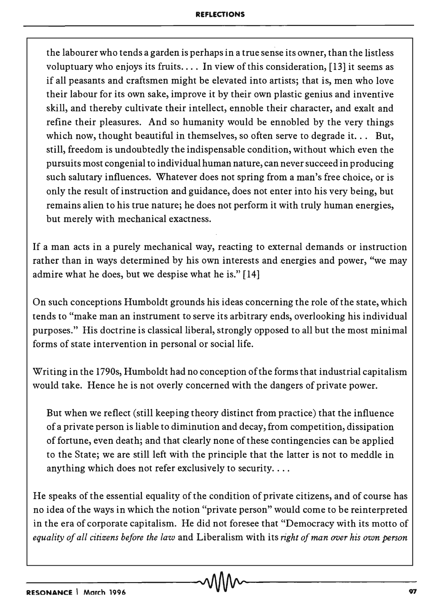the labourer who tends a garden is perhaps in a true sense its owner, than the listless voluptuary who enjoys its fruits.... In view of this consideration, [13] it seems as if all peasants and craftsmen might be elevated into artists; that is, men who love their labour for its own sake, improve it by their own plastic genius and inventive skill, and thereby cultivate their intellect, ennoble their character, and exalt and refine their pleasures. And so humanity would be ennobled by the very things which now, thought beautiful in themselves, so often serve to degrade it... But, still, freedom is undoubtedly the indispensable condition, without which even the pursui ts most congenial to individual human nature, can never succeed in producing such salutary influences. Whatever does not spring from a man's free choice, or is only the result of instruction and guidance, does not enter into his very being, but remains alien to his true nature; he does not perform it with truly human energies, but merely with mechanical exactness.

If a man acts in a purely mechanical way, reacting to external demands or instruction rather than in ways determined by his own interests and energies and power, "we may admire what he does, but we despise what he is." [14]

On such conceptions Humboldt grounds his ideas concerning the role of the state, which tends to "make man an instrument to serve its arbitrary ends, overlooking his individual purposes." His doctrine is classical liberal, strongly opposed to all but the most minimal forms of state intervention in personal or social life.

Writing in the 1790s, Humboldt had no conception ofthe forms that industrial capitalism would take. Hence he is not overly concerned with the dangers of private power.

But when we reflect (still keeping theory distinct from practice) that the influence of a private person is liable to diminution and decay, from competition, dissipation of fortune, even death; and that clearly none of these contingencies can be applied to the State; we are still left with the principle that the latter is not to meddle in anything which does not refer exclusively to security....

He speaks of the essential equality of the condition of private citizens, and of course has no idea of the ways in which the notion "private person" would come to be reinterpreted in the era of corporate capitalism. He did not foresee that "Democracy with its motto of *equality of all citizens before the law* and Liberalism with its *right of man over his own person*  $\blacksquare$ <br> **RESONANCE** | March 1996 v V V V v 97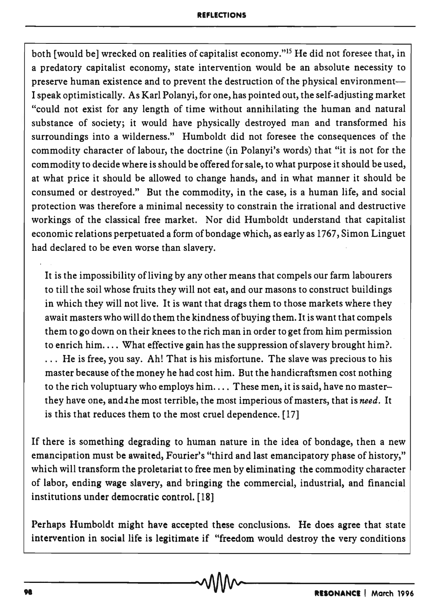both [would be] wrecked on realities of capitalist economy."IS He did not foresee that, in a predatory capitalist economy, state intervention would be an absolute necessity to preserve human existence and to prevent the destruction of the physical environment-I speak optimistically. As Karl Polanyi, for one, has pointed out, the self-adjusting market "could not exist for any length of time without annihilating the human and natural substance of society; it would have physically destroyed man and transformed his surroundings into a wilderness." Humboldt did not foresee the consequences of the commodity character of labour, the doctrine (in Polanyi's words) that "it is not for the commodity to decide where is should be offered for sale, to what purpose it should be used, at what price it should be allowed to change hands, and in what manner it should be consumed or destroyed." But the commodity, in the case, is a human life, and social protection was therefore a minimal necessity to constrain the irrational and destructive workings of the classical free market. Nor did Humboldt understand that capitalist economic relations perpetuated a form of bondage which, as early as 1767, Simon Linguet had declared to be even worse than slavery.

It is the impossibility of living by any other means that compels our farm labourers to till the soil whose fruits they will not eat, and our masons to construct buildings in which they will not live. It is want that drags them to those markets where they await masters who will do them the kindness of buying them. It is want that compels them to go down on their knees to the rich man in order to get from him permission to enrich him.... What effective gain has the suppression of slavery brought him?. ... He is free, you say. Ah! That is his misfortune. The slave was precious to his master because of the money he had cost him. But the handicraftsmen cost nothing to the rich voluptuary who employs him.... These men, it is said, have no masterthey have one, and.the most terrible, the most imperious of masters, that is *need.* It is this that reduces them to the most cruel dependence. [17]

If there is something degrading to human nature in the idea of bondage, then a new emancipation must be awaited, Fourier's "third and last emancipatory phase of history," which will transform the proletariat to free men by eliminating the commodity character of labor, ending wage slavery, and bringing the commercial, industrial, and financial institutions under democratic control. [18]

Perhaps Humboldt might have accepted these conclusions. He does agree that state intervention in social life is legitimate if "freedom would destroy the very conditions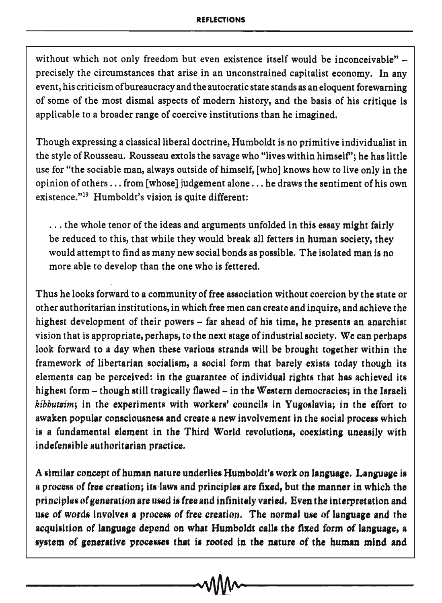without which not only freedom but even existence itself would be inconceivable" precisely the circumstances that arise in an unconstrained capitalist economy. In any event, his criticism of bureaucracy and the autocratic state stands as an eloquent forewarning of some of the most dismal aspects of modern history, and the basis of his critique is applicable to a broader range of coercive institutions than he imagined.

Though expressing a classical liberal doctrine, Humboldt is no primitive individualist in the style of Rousseau. Rousseau extols the savage who "lives within himself"; he has little use for "the sociable man, always outside of himself, [who] knows how to live only in the opinion of others ... from [whose] judgement alone ... he draws the sentiment of his own existence."19 Humboldt's vision is quite different:

... the whole tenor of the ideas and arguments unfolded in this essay might fairly be reduced to this, that while they would break all fetters in human society, they would attempt to find as many new social bonds as possible. The isolated man is no more able to develop than the one who is fettered.

Thus he looks forward to a community of free association without coercion by the state or other authoritarian institutions, in which free men can create and inquire, and achieve the highest development of their powers - far ahead of his time, he presents an anarchist vision that is appropriate, perhaps, to the next stage of industrial society. We can perhaps look forward to a day when these various strands will be brought together within the framework of libertarian socialism, a social form that barely exists today though its elements can be perceived: in the guarantee of individual rights that has achieved its highest form – though still tragically flawed – in the Western democracies; in the Israeli  $kibbut \text{sim};$  in the experiments with workers' councils in Yugoslavia; in the effort to awaken popular consciousness and create a new involvement in the social process which is a fundamental element in the Third World revolutions, coexisting uneasily with indefensible authoritarian practice.

A similar concept of human nature underlies Humboldt's work on language. Language is a process of free creation; its laws and principles are fixed, but the manner in which the principles of generation are used is free and infinitely varied. Even the interpretation and use of words involves a process of free creation. The normal use of language and the acquisition of language depend on what Humboldt calls the fixed form of language, a system of generative processes that is rooted in the nature of the human mind and

----------------------------~~~----------------------------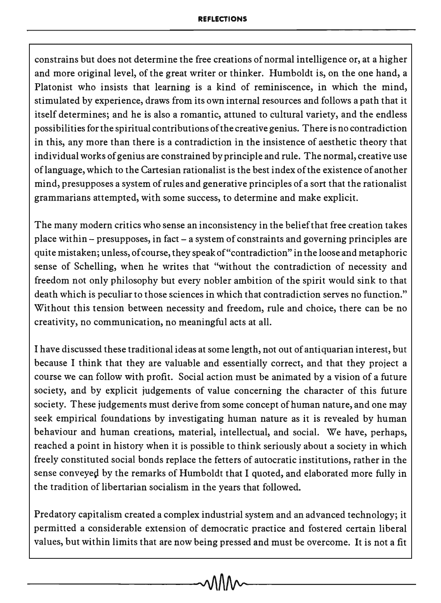constrains but does not determine the free creations of normal intelligence or, at a higher and more original level, of the great writer or thinker. Humboldt is, on the one hand, a Platonist who insists that learning is a kind of reminiscence, in which the mind, stimulated by experience, draws from its own internal resources and follows a path that it itself determines; and he is also a romantic, attuned to cultural variety, and the endless possibilities for the spiritual contributions of the creative genius. There is no contradiction in this, any more than there is a contradiction in the insistence of aesthetic theory that individual works of genius are constrained by principle and rule. The normal, creative use of language, which to the Cartesian rationalist is the best index of the existence of another mind, presupposes a system of rules and generative principles of a sort that the rationalist grammarians attempted, with some success, to determine and make explicit.

The many modern critics who sense an inconsistency in the belief that free creation takes place within - presupposes, in fact - a system of constraints and governing principles are quite mistaken; unless, of course, they speak of "contradiction" in the loose and metaphoric sense of Schelling, when he writes that "without the contradiction of necessity and freedom not only philosophy but every nobler ambition of the spirit would sink to that death which is peculiar to those sciences in which that contradiction serves no function." Without this tension between necessity and freedom, rule and choice, there can be no creativity, no communication, no meaningful acts at all.

I have discussed these traditional ideas at some length, not out of antiquarian interest, but because I think that they are valuable and essentially correct, and that they project a course we can follow with profit. Social action must be animated by a vision of a future society, and by explicit judgements of value concerning the character of this future society. These judgements must derive from some concept of human nature, and one may seek empirical foundations by investigating human nature as it is revealed by human behaviour and human creations, material, intellectual, and social. We have, perhaps, reached a point in history when it is possible to think seriously about a society in which freely constituted social bonds replace the fetters of autocratic institutions, rather in the sense conveyed by the remarks of Humboldt that I quoted, and elaborated more fully in the tradition of libertarian socialism in the years that followed.

Predatory capitalism created a complex industrial system and an advanced technology; it permitted a considerable extension of democratic practice and fostered certain liberal values, but within limits that are now being pressed and must be overcome. **It** is not a fit

----------~A~----------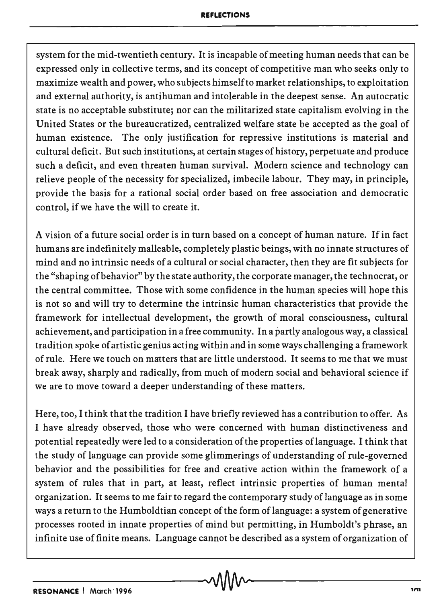system for the mid-twentieth century. It is incapable of meeting human needs that can be expressed only in collective terms, and its concept of competitive man who seeks only to maximize wealth and power, who subjects himself to market relationships, to exploitation and external authority, is antihuman and intolerable in the deepest sense. An autocratic state is no acceptable substitute; nor can the militarized state capitalism evolving in the United States or the bureaucratized, centralized welfare state be accepted as the goal of human existence. The only justification for repressive institutions is material and cultural deficit. But such institutions, at certain stages of history, perpetuate and produce such a deficit, and even threaten human survival. Modern science and technology can relieve people of the necessity for specialized, imbecile labour. They may, in principle, provide the basis for a rational social order based on free association and democratic control, if we have the will to create it.

A vision of a future social order is in turn based on a concept of human nature. If in fact humans are indefinitely malleable, completely plastic beings, wi th no innate structures of mind and no intrinsic needs of a cultural or social character, then they are fit subjects for the "shaping of behavior" by the state authority, the corporate manager, the technocrat, or the central committee. Those with some confidence in the human species will hope this is not so and will try to determine the intrinsic human characteristics that provide the framework for intellectual development, the growth of moral consciousness, cultural achievement, and participation in a free community. In a partly analogous way, a classical tradition spoke of artistic genius acting within and in some ways challenging a framework of rule. Here we touch on matters that are little understood. It seems to me that we must break away, sharply and radically, from much of modern social and behavioral science if we are to move toward a deeper understanding of these matters.

Here, too, I think that the tradition I have briefly reviewed has a contribution to offer. As I have already observed, those who were concerned with human distinctiveness and potential repeatedly were led to a consideration ofthe properties oflanguage. I think that the study of language can provide some glimmerings of understanding of rule-governed behavior and the possibilities for free and creative action within the framework of a system of rules that in part, at least, reflect intrinsic properties of human mental organization. It seems to me fair to regard the contemporary study of language as in some ways a return to the Humboldtian concept of the form of language: a system of generative processes rooted in innate properties of mind but permitting, in Humboldt's phrase, an infinite use of finite means. Language cannot be described as a system of organization of <br><br>RESONANCE | March 1996 v V V V V v 101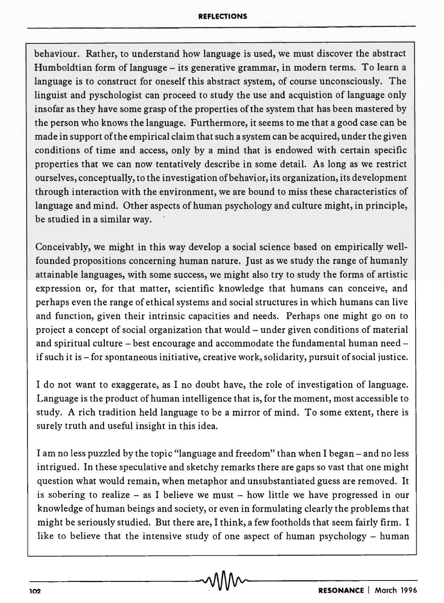behaviour. Rather, to understand how language is used, we must discover the abstract Humboldtian form of language - its generative grammar, in modern terms. To learn a language is to construct for oneself this abstract system, of course unconsciously. The linguist and pyschologist can proceed to study the use and acquistion of language only insofar as they have some grasp of the properties of the system that has been mastered by the person who knows the language. Furthermore, it seems to me that a good case can be made in support ofthe empirical claim that such a system can be acquired, under the given conditions of time and access, only by a mind that is endowed with certain specific properties that we can now tentatively describe in some detail. As long as we restrict ourselves, conceptually, to the investigation ofbehavior, its organization, its development through interaction with the environment, we are bound to miss these characteristics of language and mind. Other aspects of human psychology and culture might, in principle, be studied in a similar way.

Conceivably, we might in this way develop a social science based on empirically wellfounded propositions concerning human nature. Just as we study the range of humanly attainable languages, with some success, we might also try to study the forms of artistic expression or, for that matter, scientific knowledge that humans can conceive, and perhaps even the range of ethical systems and social structures in which humans can live and function, given their intrinsic capacities and needs. Perhaps one might go on to project a concept of social organization that would - under given conditions of material and spiritual culture – best encourage and accommodate the fundamental human need – if such it is - for spontaneous initiative, creative work, solidarity, pursuit of social justice.

I do not want to exaggerate, as I no doubt have, the role of investigation of language. Language is the product of human intelligence that is, for the moment, most accessible to study. A rich tradition held language to be a mirror of mind. To some extent, there is surely truth and useful insight in this idea.

I am no less puzzled by the topic "language and freedom" than when I began - and no less intrigued. In these speculative and sketchy remarks there are gaps so vast that one might question what would remain, when metaphor and unsubstantiated guess are removed. It is sobering to realize  $-$  as I believe we must  $-$  how little we have progressed in our knowledge of human beings and society, or even in formulating clearly the problems that might be seriously studied. But there are, I think, a few footholds that seem fairly firm. I like to believe that the intensive study of one aspect of human psychology  $-$  human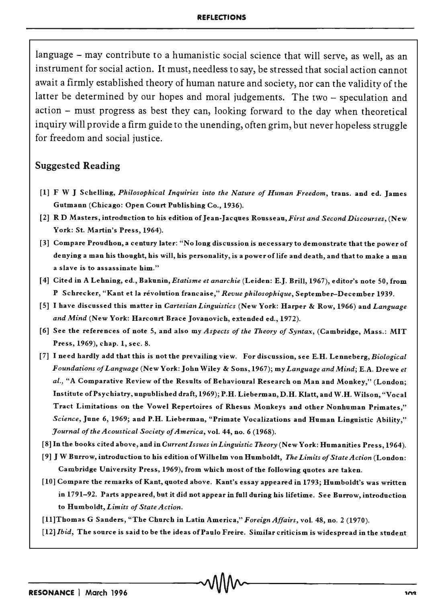language - may contribute to a humanistic social science that will serve, as well, as an instrument for social action. It must, needless to say, be stressed that social action cannot await a firmly established theory of human nature and society, nor can the validity of the latter be determined by our hopes and moral judgements. The two – speculation and action - must progress as best they can, looking forward to the day when theoretical inquiry will provide a firm guide to the unending, often grim, but never hopeless struggle for freedom and social justice.

# Suggested Reading

- [1] F W J Schelling, *Philosophical Inquiries into the Nature of Human Freedom,* trans. and ed. James Gutmann (Chicago: Open Court Publishing Co., 1936).
- [2] R D Masters, introduction to his edition of J ean-J acques Rousseau, *First and Second Discourses,* (New York: St. Martin's Press, 1964).
- [3] Compare Proudhon, a century later: "No long discussion is necessary to demonstrate that the power of denying a man his thought, his will, his personality, is a power of life and death, and that to make a man a slave is to assassinate him."
- [4] Cited in A Lehning, ed., Bakunin, *Etatisme et anarchie* (Leiden: E.J. Brill, 1967), editor's note 50, from P Schrecker, "Kant et la revolution francaise," *Revue philosophique,* September-December 1939.
- [5] I have discussed this matter in *Cartesian Linguistics* (New York: Harper & Row, 1966) and *Language and Mind* (New York: Harcourt Brace Jovanovich, extended ed., 1972).
- [6] See the references of note 5, and also my *Aspects of the Theory of Syntax,* (Cambridge, Mass.: MIT Press, 1969), chap. 1, sec. 8.
- [7] I need hardly add that this is not the prevailing view. For discussion, see E.H. Lenneberg, *Biological Foundations of Language* (New York: John Wiley & Sons, 1967); my *Language and Mind;* E.A. Drewe *et al.,* "A Comparative Review sf the Results of Behavioural Research on Man and Monkey," (London; Institute of Psychiatry, unpublished draft, 1969); P.H. Lieberman, D.H. Klatt, and W.H. Wilson, "Vocal Tract Limitations on the Vowel Repertoires of Rhesus Monkeys and other Nonhuman Primates," *Science,* June 6, 1969; and P.H. Lieberman, "Primate Vocalizations and Human Linguistic Ability," *Journal of the Acoustical Society of America,* vol. 44, no. 6 (1968).
- [8] In the books cited above, and in *Current Issues in Linguistic Theory* (New York: Humanities Press, 1964).
- [9] J W Burrow, introduction to his edition of Wilhelm von Humboldt, *The Limits of State Action* (London: Cambridge University Press, 1969), from which most of the following quotes are taken.
- [10] Compare the remarks of Kant, quoted above. Kant's essay appeared in 1793; Humboldt's was written in 1791-92. Parts appeared, but it did not appear in full during his lifetime. See Burrow, introduction to Humboldt, *Limits of State Action.*
- [ll]Thomas G Sanders, "The Church in Latin America," *Foreign Affairs,* vol. 48, no. 2 (1970).
- *[12] Ibid,* The source is said to be the ideas of Paulo Freire. Similar criticism is widespread in the student

*\_\_\_\_\_\_\_\_ ,AAAAAA \_\_\_\_\_\_ \_\_*